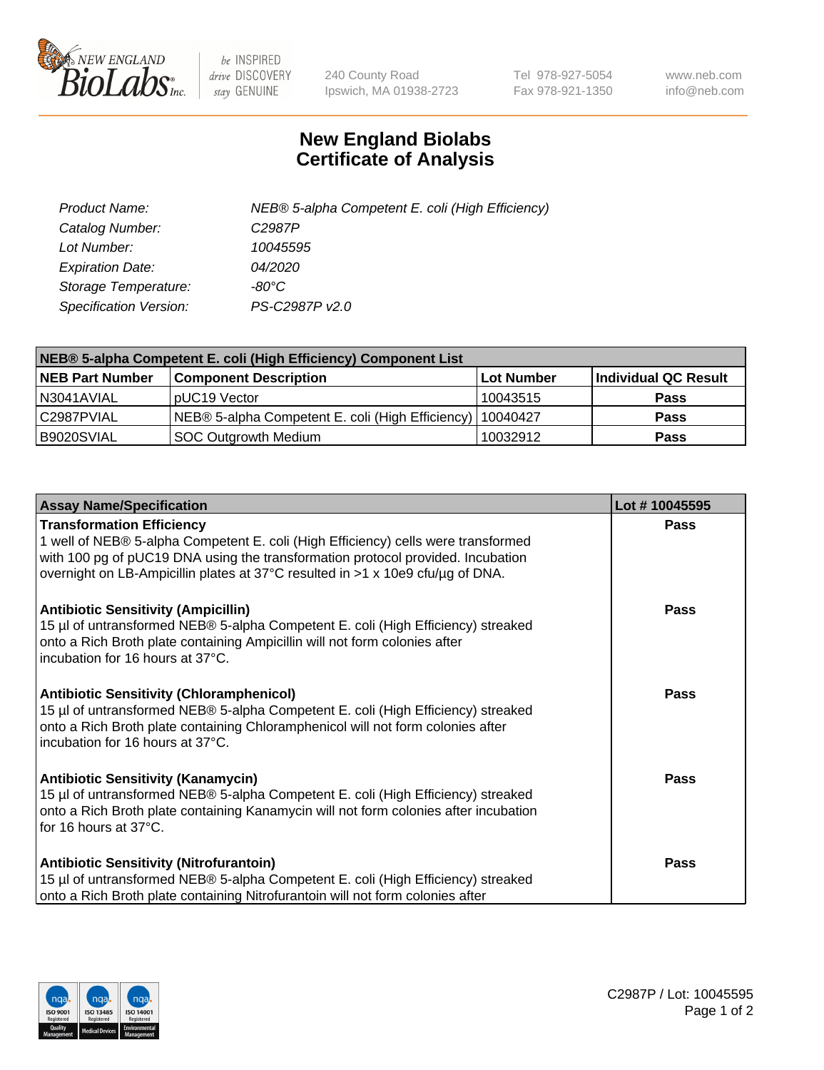

 $be$  INSPIRED drive DISCOVERY stay GENUINE

240 County Road Ipswich, MA 01938-2723 Tel 978-927-5054 Fax 978-921-1350 www.neb.com info@neb.com

## **New England Biolabs Certificate of Analysis**

| Product Name:           | NEB® 5-alpha Competent E. coli (High Efficiency) |
|-------------------------|--------------------------------------------------|
| Catalog Number:         | C <sub>2987</sub> P                              |
| Lot Number:             | 10045595                                         |
| <b>Expiration Date:</b> | <i>04/2020</i>                                   |
| Storage Temperature:    | -80°C                                            |
| Specification Version:  | PS-C2987P v2.0                                   |

| NEB® 5-alpha Competent E. coli (High Efficiency) Component List |                                                             |            |                      |  |
|-----------------------------------------------------------------|-------------------------------------------------------------|------------|----------------------|--|
| <b>NEB Part Number</b>                                          | <b>Component Description</b>                                | Lot Number | Individual QC Result |  |
| N3041AVIAL                                                      | pUC19 Vector                                                | 10043515   | <b>Pass</b>          |  |
| C2987PVIAL                                                      | NEB® 5-alpha Competent E. coli (High Efficiency)   10040427 |            | <b>Pass</b>          |  |
| B9020SVIAL                                                      | <b>SOC Outgrowth Medium</b>                                 | 10032912   | <b>Pass</b>          |  |

| <b>Assay Name/Specification</b>                                                                                                                                                                                                                                                            | Lot #10045595 |
|--------------------------------------------------------------------------------------------------------------------------------------------------------------------------------------------------------------------------------------------------------------------------------------------|---------------|
| <b>Transformation Efficiency</b><br>1 well of NEB® 5-alpha Competent E. coli (High Efficiency) cells were transformed<br>with 100 pg of pUC19 DNA using the transformation protocol provided. Incubation<br>overnight on LB-Ampicillin plates at 37°C resulted in >1 x 10e9 cfu/µg of DNA. | Pass          |
| <b>Antibiotic Sensitivity (Ampicillin)</b><br>15 µl of untransformed NEB® 5-alpha Competent E. coli (High Efficiency) streaked<br>onto a Rich Broth plate containing Ampicillin will not form colonies after<br>incubation for 16 hours at 37°C.                                           | Pass          |
| <b>Antibiotic Sensitivity (Chloramphenicol)</b><br>15 µl of untransformed NEB® 5-alpha Competent E. coli (High Efficiency) streaked<br>onto a Rich Broth plate containing Chloramphenicol will not form colonies after<br>incubation for 16 hours at 37°C.                                 | Pass          |
| <b>Antibiotic Sensitivity (Kanamycin)</b><br>15 µl of untransformed NEB® 5-alpha Competent E. coli (High Efficiency) streaked<br>onto a Rich Broth plate containing Kanamycin will not form colonies after incubation<br>for 16 hours at 37°C.                                             | Pass          |
| <b>Antibiotic Sensitivity (Nitrofurantoin)</b><br>15 µl of untransformed NEB® 5-alpha Competent E. coli (High Efficiency) streaked<br>onto a Rich Broth plate containing Nitrofurantoin will not form colonies after                                                                       | Pass          |